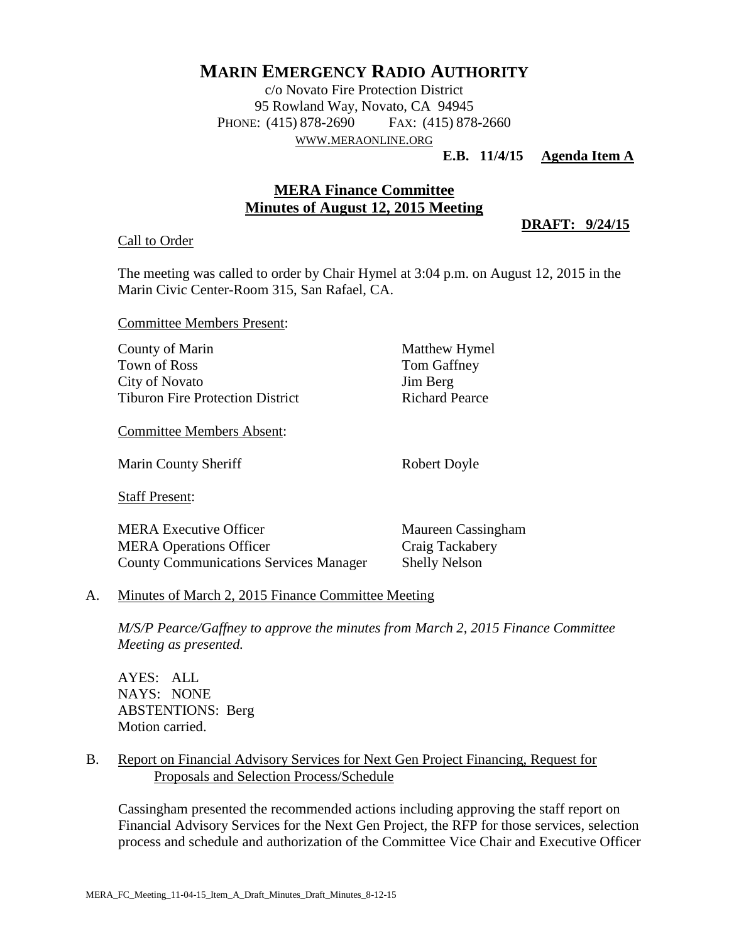# **MARIN EMERGENCY RADIO AUTHORITY**

c/o Novato Fire Protection District 95 Rowland Way, Novato, CA 94945 PHONE: (415) 878-2690 FAX: (415) 878-2660 WWW.[MERAONLINE](http://www.meraonline.org/).ORG

# **E.B. 11/4/15 Agenda Item A**

# **MERA Finance Committee Minutes of August 12, 2015 Meeting**

**DRAFT: 9/24/15**

#### Call to Order

The meeting was called to order by Chair Hymel at 3:04 p.m. on August 12, 2015 in the Marin Civic Center-Room 315, San Rafael, CA.

Committee Members Present:

| County of Marin                         |
|-----------------------------------------|
| Town of Ross                            |
| City of Novato                          |
| <b>Tiburon Fire Protection District</b> |

Committee Members Absent:

Marin County Sheriff Robert Doyle

Staff Present:

MERA Executive Officer Maureen Cassingham MERA Operations Officer Craig Tackabery County Communications Services Manager Shelly Nelson

Matthew Hymel Tom Gaffney Jim Berg Richard Pearce

# A. Minutes of March 2, 2015 Finance Committee Meeting

*M/S/P Pearce/Gaffney to approve the minutes from March 2, 2015 Finance Committee Meeting as presented.*

AYES: ALL NAYS: NONE ABSTENTIONS: Berg Motion carried.

# B. Report on Financial Advisory Services for Next Gen Project Financing, Request for Proposals and Selection Process/Schedule

Cassingham presented the recommended actions including approving the staff report on Financial Advisory Services for the Next Gen Project, the RFP for those services, selection process and schedule and authorization of the Committee Vice Chair and Executive Officer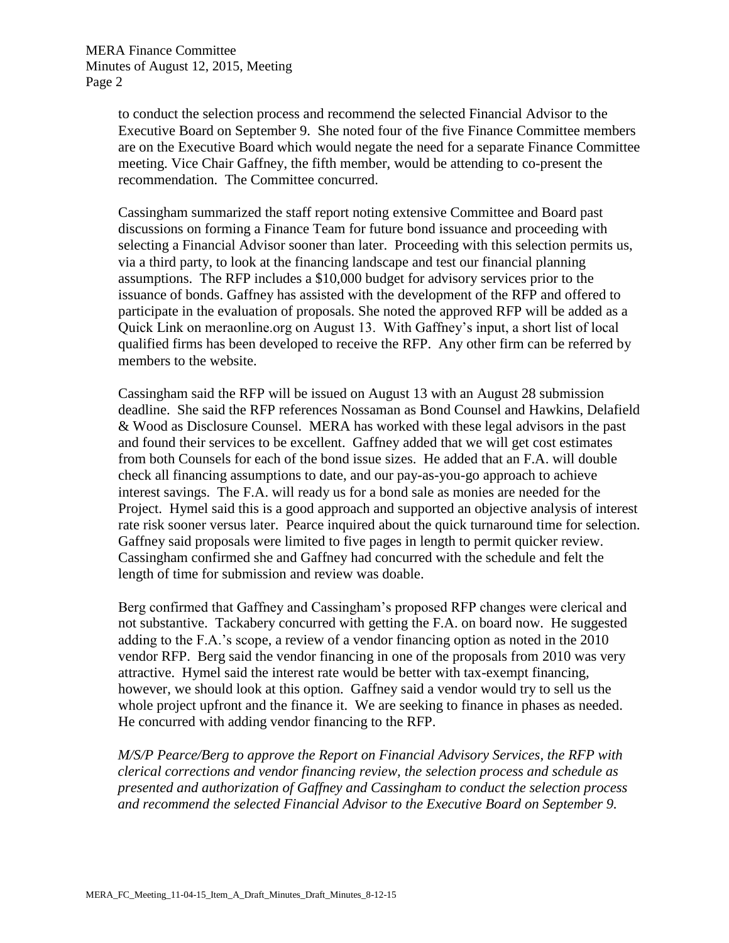to conduct the selection process and recommend the selected Financial Advisor to the Executive Board on September 9. She noted four of the five Finance Committee members are on the Executive Board which would negate the need for a separate Finance Committee meeting. Vice Chair Gaffney, the fifth member, would be attending to co-present the recommendation. The Committee concurred.

Cassingham summarized the staff report noting extensive Committee and Board past discussions on forming a Finance Team for future bond issuance and proceeding with selecting a Financial Advisor sooner than later. Proceeding with this selection permits us, via a third party, to look at the financing landscape and test our financial planning assumptions. The RFP includes a \$10,000 budget for advisory services prior to the issuance of bonds. Gaffney has assisted with the development of the RFP and offered to participate in the evaluation of proposals. She noted the approved RFP will be added as a Quick Link on meraonline.org on August 13. With Gaffney's input, a short list of local qualified firms has been developed to receive the RFP. Any other firm can be referred by members to the website.

Cassingham said the RFP will be issued on August 13 with an August 28 submission deadline. She said the RFP references Nossaman as Bond Counsel and Hawkins, Delafield & Wood as Disclosure Counsel. MERA has worked with these legal advisors in the past and found their services to be excellent. Gaffney added that we will get cost estimates from both Counsels for each of the bond issue sizes. He added that an F.A. will double check all financing assumptions to date, and our pay-as-you-go approach to achieve interest savings. The F.A. will ready us for a bond sale as monies are needed for the Project. Hymel said this is a good approach and supported an objective analysis of interest rate risk sooner versus later. Pearce inquired about the quick turnaround time for selection. Gaffney said proposals were limited to five pages in length to permit quicker review. Cassingham confirmed she and Gaffney had concurred with the schedule and felt the length of time for submission and review was doable.

Berg confirmed that Gaffney and Cassingham's proposed RFP changes were clerical and not substantive. Tackabery concurred with getting the F.A. on board now. He suggested adding to the F.A.'s scope, a review of a vendor financing option as noted in the 2010 vendor RFP. Berg said the vendor financing in one of the proposals from 2010 was very attractive. Hymel said the interest rate would be better with tax-exempt financing, however, we should look at this option. Gaffney said a vendor would try to sell us the whole project upfront and the finance it. We are seeking to finance in phases as needed. He concurred with adding vendor financing to the RFP.

*M/S/P Pearce/Berg to approve the Report on Financial Advisory Services, the RFP with clerical corrections and vendor financing review, the selection process and schedule as presented and authorization of Gaffney and Cassingham to conduct the selection process and recommend the selected Financial Advisor to the Executive Board on September 9.*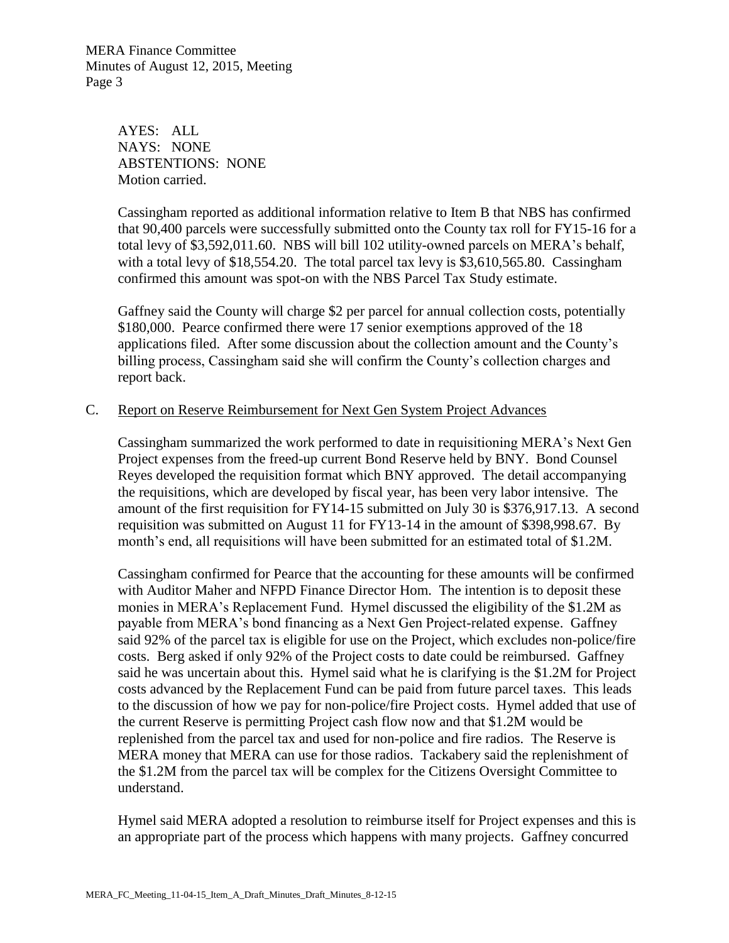MERA Finance Committee Minutes of August 12, 2015, Meeting Page 3

> AYES: ALL NAYS: NONE ABSTENTIONS: NONE Motion carried.

Cassingham reported as additional information relative to Item B that NBS has confirmed that 90,400 parcels were successfully submitted onto the County tax roll for FY15-16 for a total levy of \$3,592,011.60. NBS will bill 102 utility-owned parcels on MERA's behalf, with a total levy of \$18,554.20. The total parcel tax levy is \$3,610,565.80. Cassingham confirmed this amount was spot-on with the NBS Parcel Tax Study estimate.

Gaffney said the County will charge \$2 per parcel for annual collection costs, potentially \$180,000. Pearce confirmed there were 17 senior exemptions approved of the 18 applications filed. After some discussion about the collection amount and the County's billing process, Cassingham said she will confirm the County's collection charges and report back.

# C. Report on Reserve Reimbursement for Next Gen System Project Advances

Cassingham summarized the work performed to date in requisitioning MERA's Next Gen Project expenses from the freed-up current Bond Reserve held by BNY. Bond Counsel Reyes developed the requisition format which BNY approved. The detail accompanying the requisitions, which are developed by fiscal year, has been very labor intensive. The amount of the first requisition for FY14-15 submitted on July 30 is \$376,917.13. A second requisition was submitted on August 11 for FY13-14 in the amount of \$398,998.67. By month's end, all requisitions will have been submitted for an estimated total of \$1.2M.

Cassingham confirmed for Pearce that the accounting for these amounts will be confirmed with Auditor Maher and NFPD Finance Director Hom. The intention is to deposit these monies in MERA's Replacement Fund. Hymel discussed the eligibility of the \$1.2M as payable from MERA's bond financing as a Next Gen Project-related expense. Gaffney said 92% of the parcel tax is eligible for use on the Project, which excludes non-police/fire costs. Berg asked if only 92% of the Project costs to date could be reimbursed. Gaffney said he was uncertain about this. Hymel said what he is clarifying is the \$1.2M for Project costs advanced by the Replacement Fund can be paid from future parcel taxes. This leads to the discussion of how we pay for non-police/fire Project costs. Hymel added that use of the current Reserve is permitting Project cash flow now and that \$1.2M would be replenished from the parcel tax and used for non-police and fire radios. The Reserve is MERA money that MERA can use for those radios. Tackabery said the replenishment of the \$1.2M from the parcel tax will be complex for the Citizens Oversight Committee to understand.

 Hymel said MERA adopted a resolution to reimburse itself for Project expenses and this is an appropriate part of the process which happens with many projects. Gaffney concurred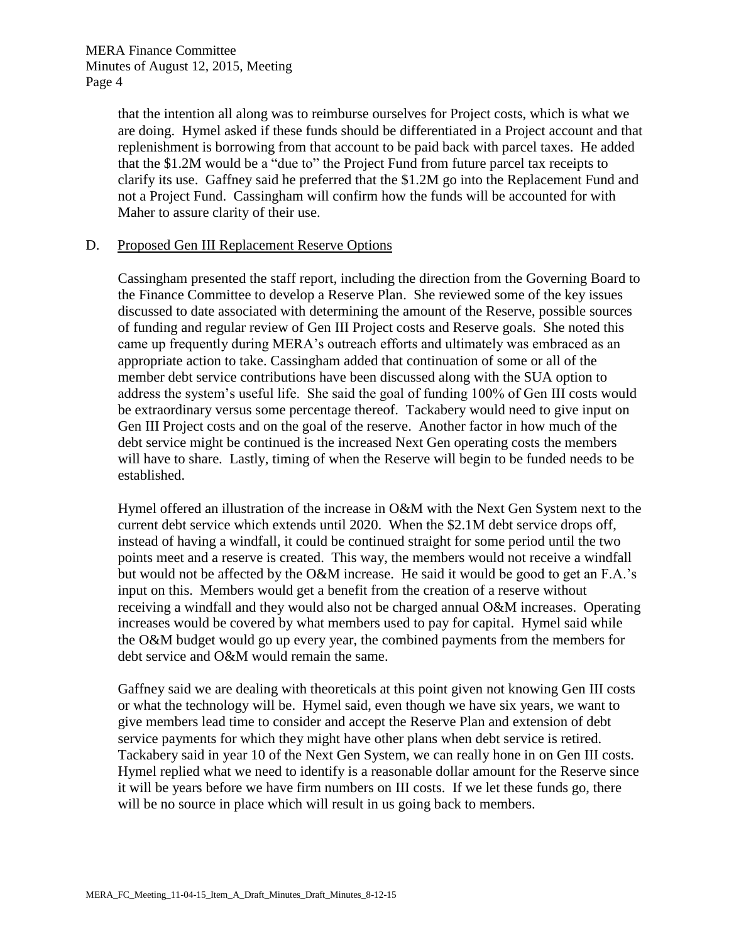MERA Finance Committee Minutes of August 12, 2015, Meeting Page 4

> that the intention all along was to reimburse ourselves for Project costs, which is what we are doing. Hymel asked if these funds should be differentiated in a Project account and that replenishment is borrowing from that account to be paid back with parcel taxes. He added that the \$1.2M would be a "due to" the Project Fund from future parcel tax receipts to clarify its use. Gaffney said he preferred that the \$1.2M go into the Replacement Fund and not a Project Fund. Cassingham will confirm how the funds will be accounted for with Maher to assure clarity of their use.

#### D. Proposed Gen III Replacement Reserve Options

 Cassingham presented the staff report, including the direction from the Governing Board to the Finance Committee to develop a Reserve Plan. She reviewed some of the key issues discussed to date associated with determining the amount of the Reserve, possible sources of funding and regular review of Gen III Project costs and Reserve goals. She noted this came up frequently during MERA's outreach efforts and ultimately was embraced as an appropriate action to take. Cassingham added that continuation of some or all of the member debt service contributions have been discussed along with the SUA option to address the system's useful life. She said the goal of funding 100% of Gen III costs would be extraordinary versus some percentage thereof. Tackabery would need to give input on Gen III Project costs and on the goal of the reserve. Another factor in how much of the debt service might be continued is the increased Next Gen operating costs the members will have to share. Lastly, timing of when the Reserve will begin to be funded needs to be established.

Hymel offered an illustration of the increase in O&M with the Next Gen System next to the current debt service which extends until 2020. When the \$2.1M debt service drops off, instead of having a windfall, it could be continued straight for some period until the two points meet and a reserve is created. This way, the members would not receive a windfall but would not be affected by the O&M increase. He said it would be good to get an F.A.'s input on this. Members would get a benefit from the creation of a reserve without receiving a windfall and they would also not be charged annual O&M increases. Operating increases would be covered by what members used to pay for capital. Hymel said while the O&M budget would go up every year, the combined payments from the members for debt service and O&M would remain the same.

 Gaffney said we are dealing with theoreticals at this point given not knowing Gen III costs or what the technology will be. Hymel said, even though we have six years, we want to give members lead time to consider and accept the Reserve Plan and extension of debt service payments for which they might have other plans when debt service is retired. Tackabery said in year 10 of the Next Gen System, we can really hone in on Gen III costs. Hymel replied what we need to identify is a reasonable dollar amount for the Reserve since it will be years before we have firm numbers on III costs. If we let these funds go, there will be no source in place which will result in us going back to members.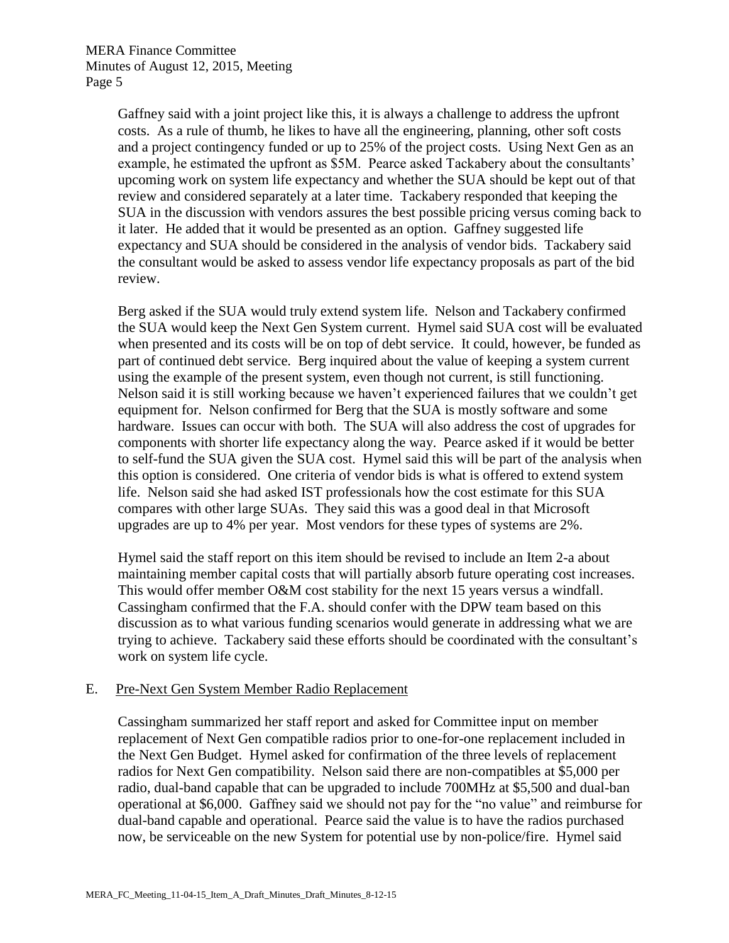Gaffney said with a joint project like this, it is always a challenge to address the upfront costs. As a rule of thumb, he likes to have all the engineering, planning, other soft costs and a project contingency funded or up to 25% of the project costs. Using Next Gen as an example, he estimated the upfront as \$5M. Pearce asked Tackabery about the consultants' upcoming work on system life expectancy and whether the SUA should be kept out of that review and considered separately at a later time. Tackabery responded that keeping the SUA in the discussion with vendors assures the best possible pricing versus coming back to it later. He added that it would be presented as an option. Gaffney suggested life expectancy and SUA should be considered in the analysis of vendor bids. Tackabery said the consultant would be asked to assess vendor life expectancy proposals as part of the bid review.

Berg asked if the SUA would truly extend system life. Nelson and Tackabery confirmed the SUA would keep the Next Gen System current. Hymel said SUA cost will be evaluated when presented and its costs will be on top of debt service. It could, however, be funded as part of continued debt service. Berg inquired about the value of keeping a system current using the example of the present system, even though not current, is still functioning. Nelson said it is still working because we haven't experienced failures that we couldn't get equipment for. Nelson confirmed for Berg that the SUA is mostly software and some hardware. Issues can occur with both. The SUA will also address the cost of upgrades for components with shorter life expectancy along the way. Pearce asked if it would be better to self-fund the SUA given the SUA cost. Hymel said this will be part of the analysis when this option is considered. One criteria of vendor bids is what is offered to extend system life. Nelson said she had asked IST professionals how the cost estimate for this SUA compares with other large SUAs. They said this was a good deal in that Microsoft upgrades are up to 4% per year. Most vendors for these types of systems are 2%.

 Hymel said the staff report on this item should be revised to include an Item 2-a about maintaining member capital costs that will partially absorb future operating cost increases. This would offer member O&M cost stability for the next 15 years versus a windfall. Cassingham confirmed that the F.A. should confer with the DPW team based on this discussion as to what various funding scenarios would generate in addressing what we are trying to achieve. Tackabery said these efforts should be coordinated with the consultant's work on system life cycle.

#### E. Pre-Next Gen System Member Radio Replacement

Cassingham summarized her staff report and asked for Committee input on member replacement of Next Gen compatible radios prior to one-for-one replacement included in the Next Gen Budget. Hymel asked for confirmation of the three levels of replacement radios for Next Gen compatibility. Nelson said there are non-compatibles at \$5,000 per radio, dual-band capable that can be upgraded to include 700MHz at \$5,500 and dual-ban operational at \$6,000. Gaffney said we should not pay for the "no value" and reimburse for dual-band capable and operational. Pearce said the value is to have the radios purchased now, be serviceable on the new System for potential use by non-police/fire. Hymel said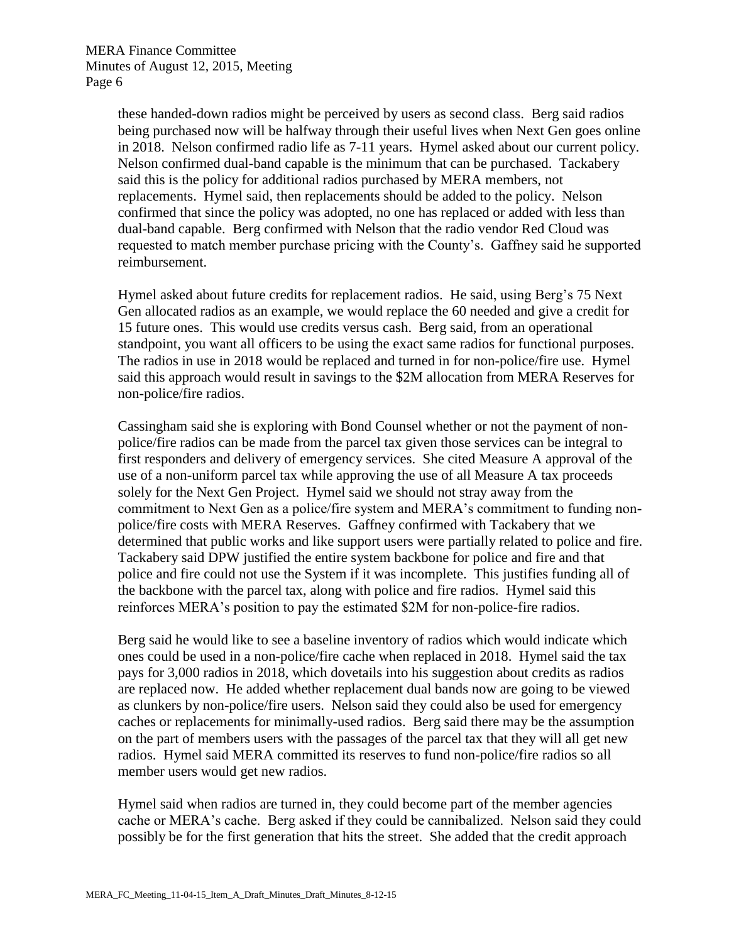these handed-down radios might be perceived by users as second class. Berg said radios being purchased now will be halfway through their useful lives when Next Gen goes online in 2018. Nelson confirmed radio life as 7-11 years. Hymel asked about our current policy. Nelson confirmed dual-band capable is the minimum that can be purchased. Tackabery said this is the policy for additional radios purchased by MERA members, not replacements. Hymel said, then replacements should be added to the policy. Nelson confirmed that since the policy was adopted, no one has replaced or added with less than dual-band capable. Berg confirmed with Nelson that the radio vendor Red Cloud was requested to match member purchase pricing with the County's. Gaffney said he supported reimbursement.

Hymel asked about future credits for replacement radios. He said, using Berg's 75 Next Gen allocated radios as an example, we would replace the 60 needed and give a credit for 15 future ones. This would use credits versus cash. Berg said, from an operational standpoint, you want all officers to be using the exact same radios for functional purposes. The radios in use in 2018 would be replaced and turned in for non-police/fire use. Hymel said this approach would result in savings to the \$2M allocation from MERA Reserves for non-police/fire radios.

Cassingham said she is exploring with Bond Counsel whether or not the payment of nonpolice/fire radios can be made from the parcel tax given those services can be integral to first responders and delivery of emergency services. She cited Measure A approval of the use of a non-uniform parcel tax while approving the use of all Measure A tax proceeds solely for the Next Gen Project. Hymel said we should not stray away from the commitment to Next Gen as a police/fire system and MERA's commitment to funding nonpolice/fire costs with MERA Reserves. Gaffney confirmed with Tackabery that we determined that public works and like support users were partially related to police and fire. Tackabery said DPW justified the entire system backbone for police and fire and that police and fire could not use the System if it was incomplete. This justifies funding all of the backbone with the parcel tax, along with police and fire radios. Hymel said this reinforces MERA's position to pay the estimated \$2M for non-police-fire radios.

Berg said he would like to see a baseline inventory of radios which would indicate which ones could be used in a non-police/fire cache when replaced in 2018. Hymel said the tax pays for 3,000 radios in 2018, which dovetails into his suggestion about credits as radios are replaced now. He added whether replacement dual bands now are going to be viewed as clunkers by non-police/fire users. Nelson said they could also be used for emergency caches or replacements for minimally-used radios. Berg said there may be the assumption on the part of members users with the passages of the parcel tax that they will all get new radios. Hymel said MERA committed its reserves to fund non-police/fire radios so all member users would get new radios.

Hymel said when radios are turned in, they could become part of the member agencies cache or MERA's cache. Berg asked if they could be cannibalized. Nelson said they could possibly be for the first generation that hits the street. She added that the credit approach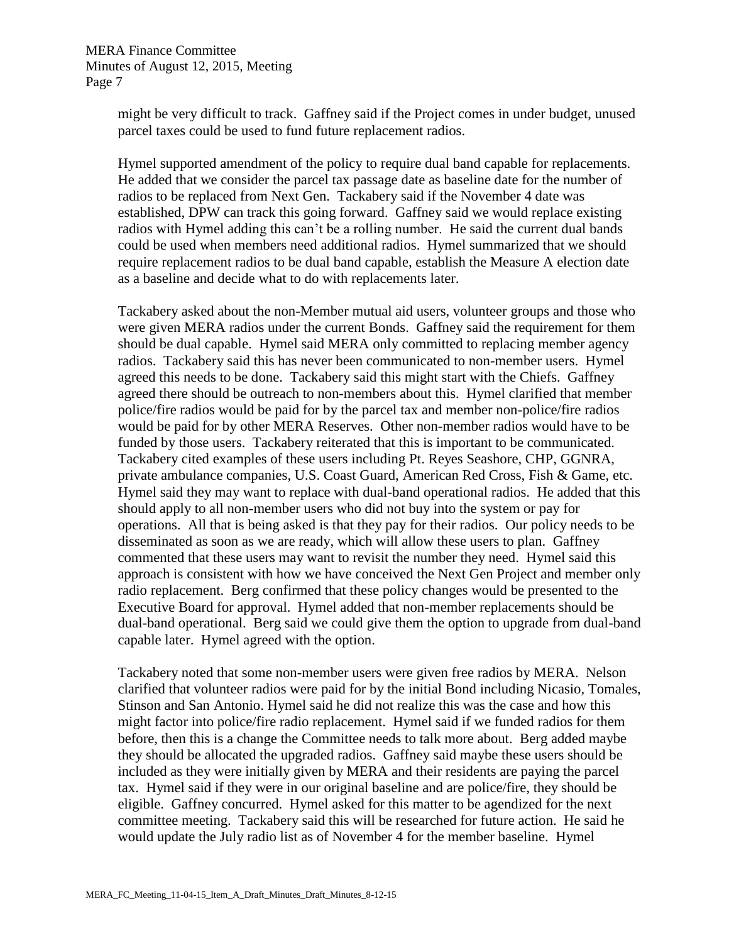might be very difficult to track. Gaffney said if the Project comes in under budget, unused parcel taxes could be used to fund future replacement radios.

Hymel supported amendment of the policy to require dual band capable for replacements. He added that we consider the parcel tax passage date as baseline date for the number of radios to be replaced from Next Gen. Tackabery said if the November 4 date was established, DPW can track this going forward. Gaffney said we would replace existing radios with Hymel adding this can't be a rolling number. He said the current dual bands could be used when members need additional radios. Hymel summarized that we should require replacement radios to be dual band capable, establish the Measure A election date as a baseline and decide what to do with replacements later.

Tackabery asked about the non-Member mutual aid users, volunteer groups and those who were given MERA radios under the current Bonds. Gaffney said the requirement for them should be dual capable. Hymel said MERA only committed to replacing member agency radios. Tackabery said this has never been communicated to non-member users. Hymel agreed this needs to be done. Tackabery said this might start with the Chiefs. Gaffney agreed there should be outreach to non-members about this. Hymel clarified that member police/fire radios would be paid for by the parcel tax and member non-police/fire radios would be paid for by other MERA Reserves. Other non-member radios would have to be funded by those users. Tackabery reiterated that this is important to be communicated. Tackabery cited examples of these users including Pt. Reyes Seashore, CHP, GGNRA, private ambulance companies, U.S. Coast Guard, American Red Cross, Fish & Game, etc. Hymel said they may want to replace with dual-band operational radios. He added that this should apply to all non-member users who did not buy into the system or pay for operations. All that is being asked is that they pay for their radios. Our policy needs to be disseminated as soon as we are ready, which will allow these users to plan. Gaffney commented that these users may want to revisit the number they need. Hymel said this approach is consistent with how we have conceived the Next Gen Project and member only radio replacement. Berg confirmed that these policy changes would be presented to the Executive Board for approval. Hymel added that non-member replacements should be dual-band operational. Berg said we could give them the option to upgrade from dual-band capable later. Hymel agreed with the option.

Tackabery noted that some non-member users were given free radios by MERA. Nelson clarified that volunteer radios were paid for by the initial Bond including Nicasio, Tomales, Stinson and San Antonio. Hymel said he did not realize this was the case and how this might factor into police/fire radio replacement. Hymel said if we funded radios for them before, then this is a change the Committee needs to talk more about. Berg added maybe they should be allocated the upgraded radios. Gaffney said maybe these users should be included as they were initially given by MERA and their residents are paying the parcel tax. Hymel said if they were in our original baseline and are police/fire, they should be eligible. Gaffney concurred. Hymel asked for this matter to be agendized for the next committee meeting. Tackabery said this will be researched for future action. He said he would update the July radio list as of November 4 for the member baseline. Hymel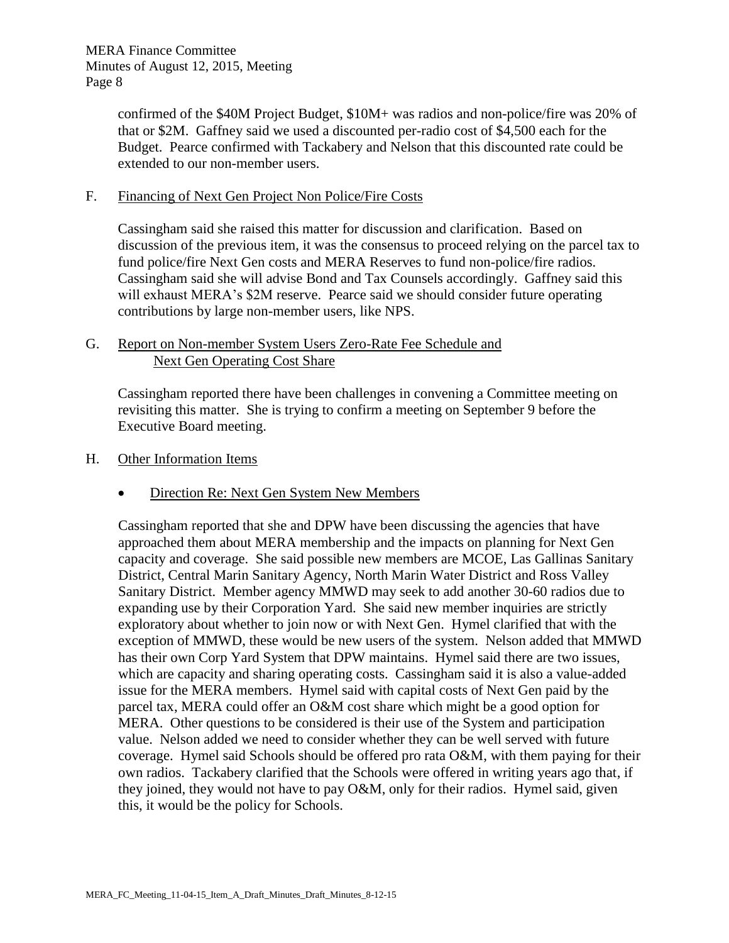confirmed of the \$40M Project Budget, \$10M+ was radios and non-police/fire was 20% of that or \$2M. Gaffney said we used a discounted per-radio cost of \$4,500 each for the Budget. Pearce confirmed with Tackabery and Nelson that this discounted rate could be extended to our non-member users.

### F. Financing of Next Gen Project Non Police/Fire Costs

Cassingham said she raised this matter for discussion and clarification. Based on discussion of the previous item, it was the consensus to proceed relying on the parcel tax to fund police/fire Next Gen costs and MERA Reserves to fund non-police/fire radios. Cassingham said she will advise Bond and Tax Counsels accordingly. Gaffney said this will exhaust MERA's \$2M reserve. Pearce said we should consider future operating contributions by large non-member users, like NPS.

# G. Report on Non-member System Users Zero-Rate Fee Schedule and Next Gen Operating Cost Share

Cassingham reported there have been challenges in convening a Committee meeting on revisiting this matter. She is trying to confirm a meeting on September 9 before the Executive Board meeting.

#### H. Other Information Items

# • Direction Re: Next Gen System New Members

Cassingham reported that she and DPW have been discussing the agencies that have approached them about MERA membership and the impacts on planning for Next Gen capacity and coverage. She said possible new members are MCOE, Las Gallinas Sanitary District, Central Marin Sanitary Agency, North Marin Water District and Ross Valley Sanitary District. Member agency MMWD may seek to add another 30-60 radios due to expanding use by their Corporation Yard. She said new member inquiries are strictly exploratory about whether to join now or with Next Gen. Hymel clarified that with the exception of MMWD, these would be new users of the system. Nelson added that MMWD has their own Corp Yard System that DPW maintains. Hymel said there are two issues, which are capacity and sharing operating costs. Cassingham said it is also a value-added issue for the MERA members. Hymel said with capital costs of Next Gen paid by the parcel tax, MERA could offer an O&M cost share which might be a good option for MERA. Other questions to be considered is their use of the System and participation value. Nelson added we need to consider whether they can be well served with future coverage. Hymel said Schools should be offered pro rata O&M, with them paying for their own radios. Tackabery clarified that the Schools were offered in writing years ago that, if they joined, they would not have to pay O&M, only for their radios. Hymel said, given this, it would be the policy for Schools.